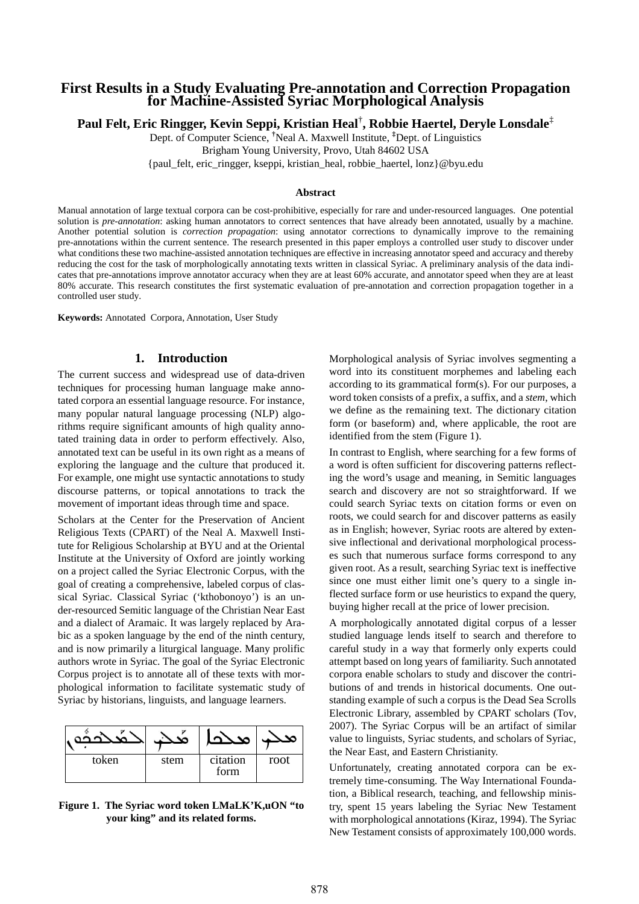## **First Results in a Study Evaluating Pre-annotation and Correction Propagation for Machine-Assisted Syriac Morphological Analysis**

**Paul Felt, Eric Ringger, Kevin Seppi, Kristian Heal**† **, Robbie Haertel, Deryle Lonsdale**‡

Dept. of Computer Science, **†**Neal A. Maxwell Institute, **‡**Dept. of Linguistics Brigham Young University, Provo, Utah 84602 USA

{paul\_felt, eric\_ringger, kseppi, kristian\_heal, robbie\_haertel, lonz}@byu.edu

## **Abstract**

Manual annotation of large textual corpora can be cost-prohibitive, especially for rare and under-resourced languages. One potential solution is *pre-annotation*: asking human annotators to correct sentences that have already been annotated, usually by a machine. Another potential solution is *correction propagation*: using annotator corrections to dynamically improve to the remaining pre-annotations within the current sentence. The research presented in this paper employs a controlled user study to discover under what conditions these two machine-assisted annotation techniques are effective in increasing annotator speed and accuracy and thereby reducing the cost for the task of morphologically annotating texts written in classical Syriac. A preliminary analysis of the data indicates that pre-annotations improve annotator accuracy when they are at least 60% accurate, and annotator speed when they are at least 80% accurate. This research constitutes the first systematic evaluation of pre-annotation and correction propagation together in a controlled user study.

**Keywords:** Annotated Corpora, Annotation, User Study

## **1. Introduction**

The current success and widespread use of data-driven techniques for processing human language make annotated corpora an essential language resource. For instance, many popular natural language processing (NLP) algorithms require significant amounts of high quality annotated training data in order to perform effectively. Also, annotated text can be useful in its own right as a means of exploring the language and the culture that produced it. For example, one might use syntactic annotations to study discourse patterns, or topical annotations to track the movement of important ideas through time and space.

Scholars at the Center for the Preservation of Ancient Religious Texts (CPART) of the Neal A. Maxwell Institute for Religious Scholarship at BYU and at the Oriental Institute at the University of Oxford are jointly working on a project called the Syriac Electronic Corpus, with the goal of creating a comprehensive, labeled corpus of classical Syriac. Classical Syriac ('kthobonoyo') is an under-resourced Semitic language of the Christian Near East and a dialect of Aramaic. It was largely replaced by Arabic as a spoken language by the end of the ninth century, and is now primarily a liturgical language. Many prolific authors wrote in Syriac. The goal of the Syriac Electronic Corpus project is to annotate all of these texts with morphological information to facilitate systematic study of Syriac by historians, linguists, and language learners.

| token | stem | citation<br>form | root |
|-------|------|------------------|------|

**Figure 1. The Syriac word token LMaLK'K,uON "to your king" and its related forms.** 

Morphological analysis of Syriac involves segmenting a word into its constituent morphemes and labeling each according to its grammatical form(s). For our purposes, a word token consists of a prefix, a suffix, and a *stem*, which we define as the remaining text. The dictionary citation form (or baseform) and, where applicable, the root are identified from the stem (Figure 1).

In contrast to English, where searching for a few forms of a word is often sufficient for discovering patterns reflecting the word's usage and meaning, in Semitic languages search and discovery are not so straightforward. If we could search Syriac texts on citation forms or even on roots, we could search for and discover patterns as easily as in English; however, Syriac roots are altered by extensive inflectional and derivational morphological processes such that numerous surface forms correspond to any given root. As a result, searching Syriac text is ineffective since one must either limit one's query to a single inflected surface form or use heuristics to expand the query, buying higher recall at the price of lower precision.

A morphologically annotated digital corpus of a lesser studied language lends itself to search and therefore to careful study in a way that formerly only experts could attempt based on long years of familiarity. Such annotated corpora enable scholars to study and discover the contributions of and trends in historical documents. One outstanding example of such a corpus is the Dead Sea Scrolls Electronic Library, assembled by CPART scholars (Tov, 2007). The Syriac Corpus will be an artifact of similar value to linguists, Syriac students, and scholars of Syriac, the Near East, and Eastern Christianity.

Unfortunately, creating annotated corpora can be extremely time-consuming. The Way International Foundation, a Biblical research, teaching, and fellowship ministry, spent 15 years labeling the Syriac New Testament with morphological annotations (Kiraz, 1994). The Syriac New Testament consists of approximately 100,000 words.